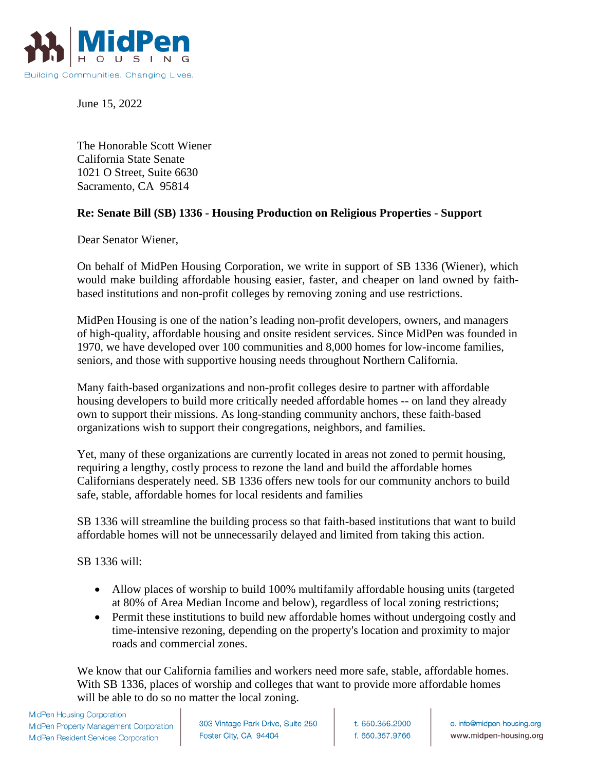

June 15, 2022

The Honorable Scott Wiener California State Senate 1021 O Street, Suite 6630 Sacramento, CA 95814

## **Re: Senate Bill (SB) 1336 - Housing Production on Religious Properties - Support**

Dear Senator Wiener,

On behalf of MidPen Housing Corporation, we write in support of SB 1336 (Wiener), which would make building affordable housing easier, faster, and cheaper on land owned by faithbased institutions and non-profit colleges by removing zoning and use restrictions.

MidPen Housing is one of the nation's leading non-profit developers, owners, and managers of high-quality, affordable housing and onsite resident services. Since MidPen was founded in 1970, we have developed over 100 communities and 8,000 homes for low-income families, seniors, and those with supportive housing needs throughout Northern California.

Many faith-based organizations and non-profit colleges desire to partner with affordable housing developers to build more critically needed affordable homes -- on land they already own to support their missions. As long-standing community anchors, these faith-based organizations wish to support their congregations, neighbors, and families.

Yet, many of these organizations are currently located in areas not zoned to permit housing, requiring a lengthy, costly process to rezone the land and build the affordable homes Californians desperately need. SB 1336 offers new tools for our community anchors to build safe, stable, affordable homes for local residents and families

SB 1336 will streamline the building process so that faith-based institutions that want to build affordable homes will not be unnecessarily delayed and limited from taking this action.

SB 1336 will:

- Allow places of worship to build 100% multifamily affordable housing units (targeted at 80% of Area Median Income and below), regardless of local zoning restrictions;
- Permit these institutions to build new affordable homes without undergoing costly and time-intensive rezoning, depending on the property's location and proximity to major roads and commercial zones.

We know that our California families and workers need more safe, stable, affordable homes. With SB 1336, places of worship and colleges that want to provide more affordable homes will be able to do so no matter the local zoning.

**MidPen Housing Corporation** MidPen Property Management Corporation MidPen Resident Services Corporation

303 Vintage Park Drive, Suite 250 Foster City, CA 94404

t. 650.356.2900 f. 650.357.9766